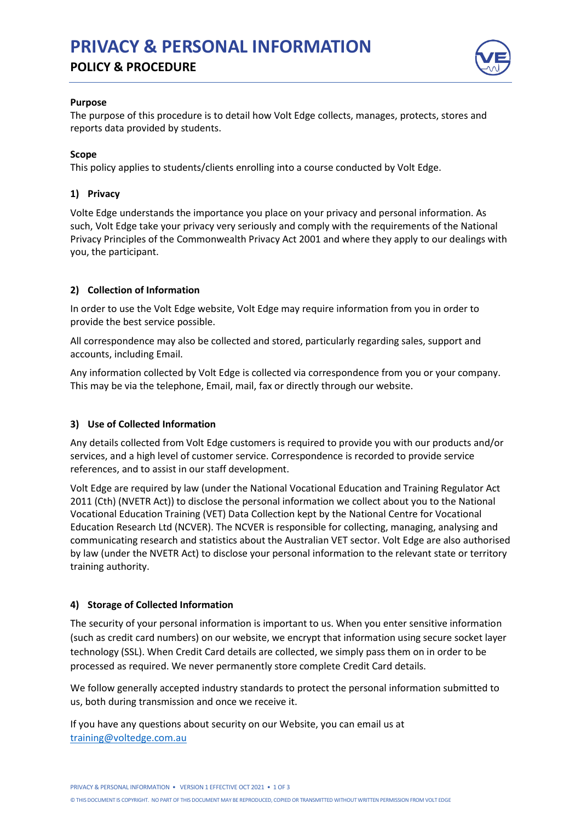# **PRIVACY & PERSONAL INFORMATION POLICY & PROCEDURE**



#### **Purpose**

The purpose of this procedure is to detail how Volt Edge collects, manages, protects, stores and reports data provided by students.

## **Scope**

This policy applies to students/clients enrolling into a course conducted by Volt Edge.

# **1) Privacy**

Volte Edge understands the importance you place on your privacy and personal information. As such, Volt Edge take your privacy very seriously and comply with the requirements of the National Privacy Principles of the Commonwealth Privacy Act 2001 and where they apply to our dealings with you, the participant.

## **2) Collection of Information**

In order to use the Volt Edge website, Volt Edge may require information from you in order to provide the best service possible.

All correspondence may also be collected and stored, particularly regarding sales, support and accounts, including Email.

Any information collected by Volt Edge is collected via correspondence from you or your company. This may be via the telephone, Email, mail, fax or directly through our website.

# **3) Use of Collected Information**

Any details collected from Volt Edge customers is required to provide you with our products and/or services, and a high level of customer service. Correspondence is recorded to provide service references, and to assist in our staff development.

Volt Edge are required by law (under the National Vocational Education and Training Regulator Act 2011 (Cth) (NVETR Act)) to disclose the personal information we collect about you to the National Vocational Education Training (VET) Data Collection kept by the National Centre for Vocational Education Research Ltd (NCVER). The NCVER is responsible for collecting, managing, analysing and communicating research and statistics about the Australian VET sector. Volt Edge are also authorised by law (under the NVETR Act) to disclose your personal information to the relevant state or territory training authority.

# **4) Storage of Collected Information**

The security of your personal information is important to us. When you enter sensitive information (such as credit card numbers) on our website, we encrypt that information using secure socket layer technology (SSL). When Credit Card details are collected, we simply pass them on in order to be processed as required. We never permanently store complete Credit Card details.

We follow generally accepted industry standards to protect the personal information submitted to us, both during transmission and once we receive it.

If you have any questions about security on our Website, you can email us at [training@voltedge.com.au](mailto:training@voltedge.com.au)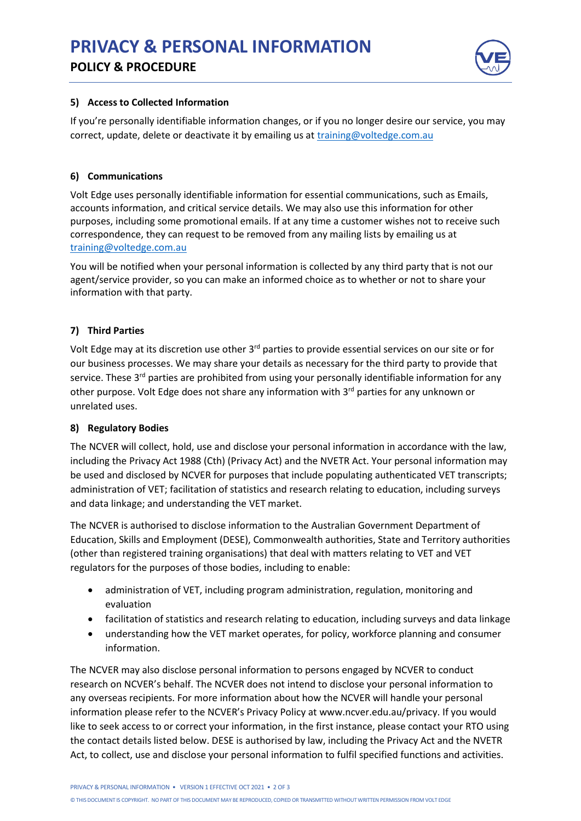

## **5) Access to Collected Information**

If you're personally identifiable information changes, or if you no longer desire our service, you may correct, update, delete or deactivate it by emailing us at [training@voltedge.com.au](mailto:training@voltedge.com.au)

## **6) Communications**

Volt Edge uses personally identifiable information for essential communications, such as Emails, accounts information, and critical service details. We may also use this information for other purposes, including some promotional emails. If at any time a customer wishes not to receive such correspondence, they can request to be removed from any mailing lists by emailing us at [training@voltedge.com.au](mailto:training@voltedge.com.au)

You will be notified when your personal information is collected by any third party that is not our agent/service provider, so you can make an informed choice as to whether or not to share your information with that party.

# **7) Third Parties**

Volt Edge may at its discretion use other 3<sup>rd</sup> parties to provide essential services on our site or for our business processes. We may share your details as necessary for the third party to provide that service. These 3<sup>rd</sup> parties are prohibited from using your personally identifiable information for any other purpose. Volt Edge does not share any information with 3<sup>rd</sup> parties for any unknown or unrelated uses.

# **8) Regulatory Bodies**

The NCVER will collect, hold, use and disclose your personal information in accordance with the law, including the Privacy Act 1988 (Cth) (Privacy Act) and the NVETR Act. Your personal information may be used and disclosed by NCVER for purposes that include populating authenticated VET transcripts; administration of VET; facilitation of statistics and research relating to education, including surveys and data linkage; and understanding the VET market.

The NCVER is authorised to disclose information to the Australian Government Department of Education, Skills and Employment (DESE), Commonwealth authorities, State and Territory authorities (other than registered training organisations) that deal with matters relating to VET and VET regulators for the purposes of those bodies, including to enable:

- administration of VET, including program administration, regulation, monitoring and evaluation
- facilitation of statistics and research relating to education, including surveys and data linkage
- understanding how the VET market operates, for policy, workforce planning and consumer information.

The NCVER may also disclose personal information to persons engaged by NCVER to conduct research on NCVER's behalf. The NCVER does not intend to disclose your personal information to any overseas recipients. For more information about how the NCVER will handle your personal information please refer to the NCVER's Privacy Policy at www.ncver.edu.au/privacy. If you would like to seek access to or correct your information, in the first instance, please contact your RTO using the contact details listed below. DESE is authorised by law, including the Privacy Act and the NVETR Act, to collect, use and disclose your personal information to fulfil specified functions and activities.